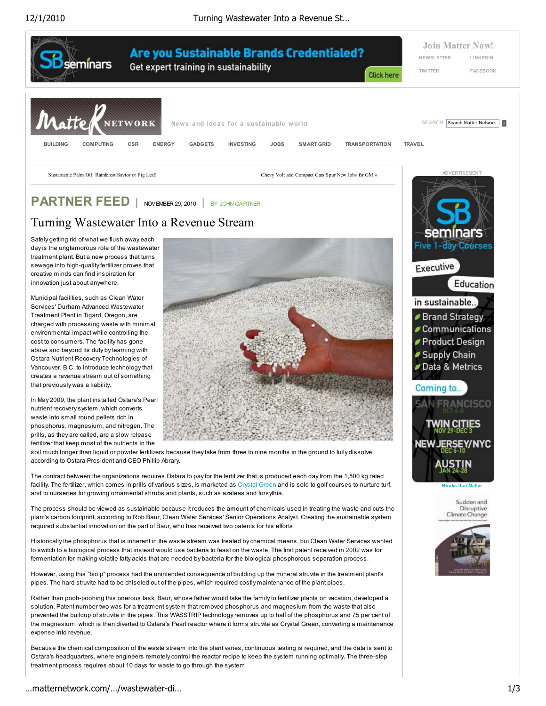12/1/2010 Turning Wastewater Into a Revenue St…



Municipal facilities, such as Clean Water Services' Durham Advanced Wastewater Treatment Plant in Tigard, Oregon, are charged with processing waste with minimal environmental impact while controlling the cost to consumers. The facility has gone above and beyond its duty by teaming with Ostara Nutrient Recovery Technologies of Vancouver, B.C. to introduce technology that creates a revenue stream out of something that previously was a liability.

innovation just about anywhere.

In May 2009, the plant installed Ostara's Pearl nutrient recovery system, which converts waste into small round pellets rich in phosphorus, magnesium, and nitrogen. The prills, as they are called, are a slow release fertilizer that keep most of the nutrients in the



soil much longer than liquid or powder fertilizers because they take from three to nine months in the ground to fully dissolve, according to Ostara President and CEO Phillip Abrary.

The contract between the organizations requires Ostara to pay for the fertilizer that is produced each day from the 1,500 kg rated facility. The fertilizer, which comes in prills of various sizes, is marketed as Crystal Green and is sold to golf courses to nurture turf, and to nurseries for growing ornamental shrubs and plants, such as azaleas and forsythia.

The process should be viewed as sustainable because it reduces the amount of chemicals used in treating the waste and cuts the plant's carbon footprint, according to Rob Baur, Clean Water Services' Senior Operations Analyst. Creating the sustainable system required substantial innovation on the part of Baur, who has received two patents for his efforts.

Historically the phosphorus that is inherent in the waste stream was treated by chemical means, but Clean Water Services wanted to switch to a biological process that instead would use bacteria to feast on the waste. The first patent received in 2002 was for fermentation for making volatile fatty acids that are needed by bacteria for the biological phosphorous separation process.

However, using this "bio p" process had the unintended consequence of building up the mineral struvite in the treatment plant's pipes. The hard struvite had to be chiseled out of the pipes, which required costly maintenance of the plant pipes.

Rather than pooh-poohing this onerous task, Baur, whose father would take the family to fertilizer plants on vacation, developed a solution. Patent number two was for a treatment system that removed phosphorus and magnesium from the waste that also prevented the buildup of struvite in the pipes. This WASSTRIP technology removes up to half of the phosphorus and 75 per cent of the magnesium, which is then diverted to Ostara's Pearl reactor where it forms struvite as Crystal Green, converting a maintenance expense into revenue.

Because the chemical composition of the waste stream into the plant varies, continuous testing is required, and the data is sent to Ostara's headquarters, where engineers remotely control the reactor recipe to keep the system running optimally. The three-step treatment process requires about 10 days for waste to go through the system.



Sudden and Disruptive Climate Change

**Books that Matter**

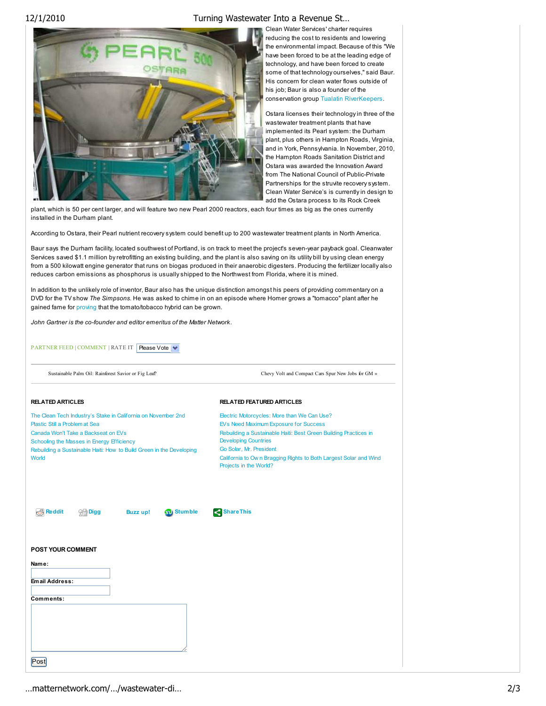## 12/1/2010 Turning Wastewater Into a Revenue St…



Clean Water Services' charter requires reducing the cost to residents and lowering the environmental impact. Because of this "We have been forced to be at the leading edge of technology, and have been forced to create some of that technology ourselves," said Baur. His concern for clean water flows outside of his job; Baur is also a founder of the conservation group Tualatin RiverKeepers.

Ostara licenses their technology in three of the wastewater treatment plants that have implemented its Pearl system: the Durham plant, plus others in Hampton Roads, Virginia, and in York, Pennsylvania. In November, 2010, the Hampton Roads Sanitation District and Ostara was awarded the Innovation Award from The National Council of Public-Private Partnerships for the struvite recovery system. Clean Water Service's is currently in design to add the Ostara process to its Rock Creek

plant, which is 50 per cent larger, and will feature two new Pearl 2000 reactors, each four times as big as the ones currently installed in the Durham plant.

According to Ostara, their Pearl nutrient recovery system could benefit up to 200 wastewater treatment plants in North America.

Baur says the Durham facility, located southwest of Portland, is on track to meet the project's seven-year payback goal. Cleanwater Services saved \$1.1 million by retrofitting an existing building, and the plant is also saving on its utility bill by using clean energy from a 500 kilowatt engine generator that runs on biogas produced in their anaerobic digesters. Producing the fertilizer locally also reduces carbon emissions as phosphorus is usually shipped to the Northwest from Florida, where it is mined.

In addition to the unlikely role of inventor, Baur also has the unique distinction amongst his peers of providing commentary on a DVD for the TV show *The Simpsons*. He was asked to chime in on an episode where Homer grows a "tomacco" plant after he gained fame for proving that the tomato/tobacco hybrid can be grown.

*John Gartner is the co-founder and editor emeritus of the Matter Network.*

PART NER FEED | COMMENT | RATE IT | Please Vote

Sustainable Palm Oil: Rainforest Savior or Fig Leaf? Chevy Volt and Compact Cars Spur New Jobs for GM »

| <b>RELATED ARTICLES</b>                                                                                                                                                                                                                                              | <b>RELATED FEATURED ARTICLES</b>                                                                                                                                                                                                                                                                                 |
|----------------------------------------------------------------------------------------------------------------------------------------------------------------------------------------------------------------------------------------------------------------------|------------------------------------------------------------------------------------------------------------------------------------------------------------------------------------------------------------------------------------------------------------------------------------------------------------------|
| The Clean Tech Industry's Stake in California on November 2nd<br>Plastic Still a Problem at Sea<br>Canada Won't Take a Backseat on EVs<br>Schooling the Masses in Energy Efficiency<br>Rebuilding a Sustainable Haiti: How to Build Green in the Developing<br>World | Electric Motorcycles: More than We Can Use?<br>EVs Need Maximum Exposure for Success<br>Rebuilding a Sustainable Haiti: Best Green Building Practices in<br><b>Developing Countries</b><br>Go Solar, Mr. President<br>California to Own Bragging Rights to Both Largest Solar and Wind<br>Projects in the World? |
| .‰ Reddit<br>Stumble<br><b>All Digg</b><br><b>Buzz</b> up!<br><b>POST YOUR COMMENT</b><br>Name:                                                                                                                                                                      | Share This                                                                                                                                                                                                                                                                                                       |
| Email Address:<br>Comments:                                                                                                                                                                                                                                          |                                                                                                                                                                                                                                                                                                                  |
| Post                                                                                                                                                                                                                                                                 |                                                                                                                                                                                                                                                                                                                  |